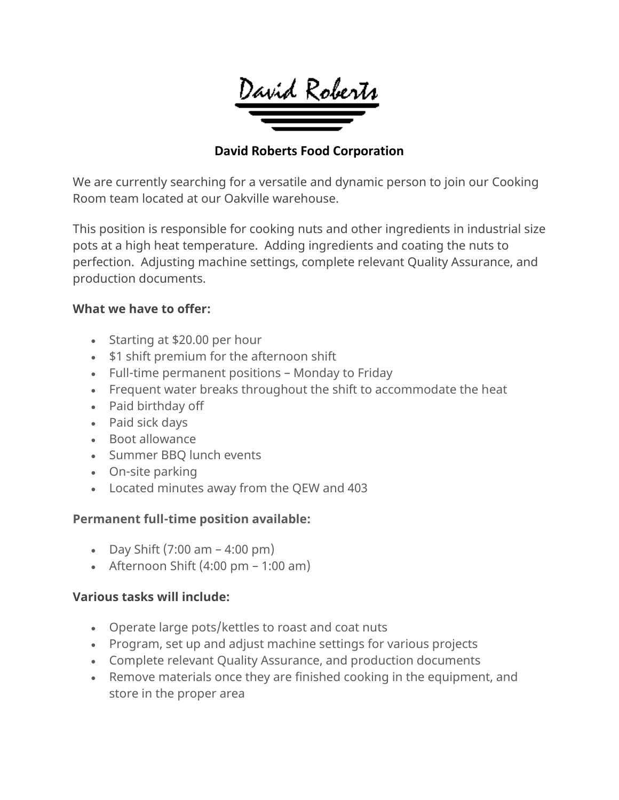

## **David Roberts Food Corporation**

We are currently searching for a versatile and dynamic person to join our Cooking Room team located at our Oakville warehouse.

This position is responsible for cooking nuts and other ingredients in industrial size pots at a high heat temperature. Adding ingredients and coating the nuts to perfection. Adjusting machine settings, complete relevant Quality Assurance, and production documents.

### **What we have to offer:**

- Starting at \$20.00 per hour
- \$1 shift premium for the afternoon shift
- Full-time permanent positions Monday to Friday
- Frequent water breaks throughout the shift to accommodate the heat
- Paid birthday off
- Paid sick days
- Boot allowance
- Summer BBQ lunch events
- On-site parking
- Located minutes away from the QEW and 403

## **Permanent full-time position available:**

- Day Shift  $(7:00 \text{ am} 4:00 \text{ pm})$
- Afternoon Shift  $(4:00 \text{ pm} 1:00 \text{ am})$

## **Various tasks will include:**

- Operate large pots/kettles to roast and coat nuts
- Program, set up and adjust machine settings for various projects
- Complete relevant Quality Assurance, and production documents
- Remove materials once they are finished cooking in the equipment, and store in the proper area